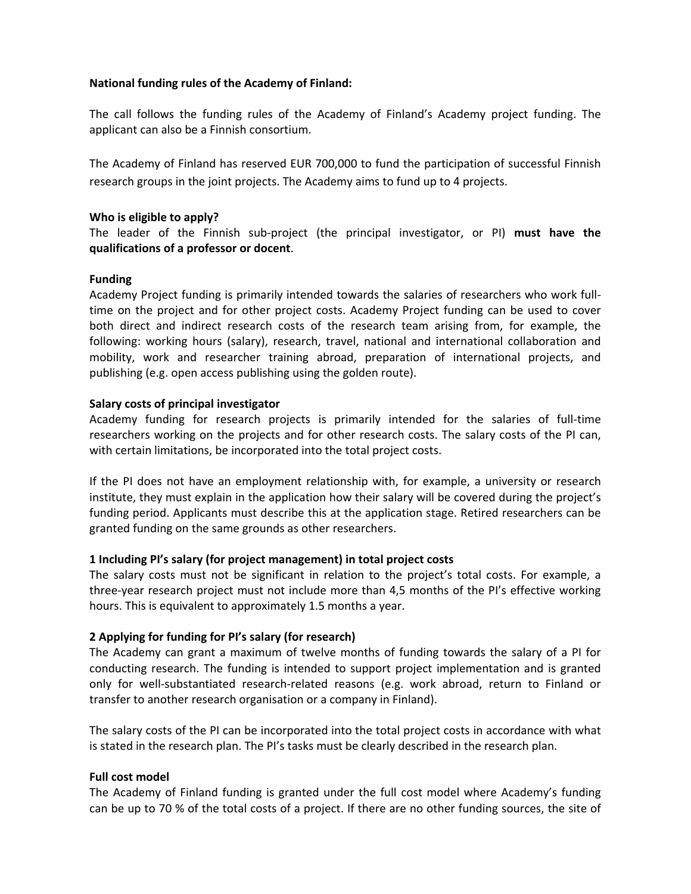### **National funding rules of the Academy of Finland:**

The call follows the funding rules of the Academy of Finland's Academy project funding. The applicant can also be a Finnish consortium.

The Academy of Finland has reserved EUR 700,000 to fund the participation of successful Finnish research groups in the joint projects. The Academy aims to fund up to 4 projects.

## **Who is eligible to apply?**

The leader of the Finnish sub‐project (the principal investigator, or PI) **must have the qualifications of a professor or docent**.

## **Funding**

Academy Project funding is primarily intended towards the salaries of researchers who work full‐ time on the project and for other project costs. Academy Project funding can be used to cover both direct and indirect research costs of the research team arising from, for example, the following: working hours (salary), research, travel, national and international collaboration and mobility, work and researcher training abroad, preparation of international projects, and publishing (e.g. open access publishing using the golden route).

## **Salary costs of principal investigator**

Academy funding for research projects is primarily intended for the salaries of full‐time researchers working on the projects and for other research costs. The salary costs of the PI can, with certain limitations, be incorporated into the total project costs.

If the PI does not have an employment relationship with, for example, a university or research institute, they must explain in the application how their salary will be covered during the project's funding period. Applicants must describe this at the application stage. Retired researchers can be granted funding on the same grounds as other researchers.

### **1 Including PI's salary (for project management) in total project costs**

The salary costs must not be significant in relation to the project's total costs. For example, a three‐year research project must not include more than 4,5 months of the PI's effective working hours. This is equivalent to approximately 1.5 months a year.

# **2 Applying for funding for PI's salary (for research)**

The Academy can grant a maximum of twelve months of funding towards the salary of a PI for conducting research. The funding is intended to support project implementation and is granted only for well-substantiated research-related reasons (e.g. work abroad, return to Finland or transfer to another research organisation or a company in Finland).

The salary costs of the PI can be incorporated into the total project costs in accordance with what is stated in the research plan. The PI's tasks must be clearly described in the research plan.

### **Full cost model**

The Academy of Finland funding is granted under the full cost model where Academy's funding can be up to 70 % of the total costs of a project. If there are no other funding sources, the site of